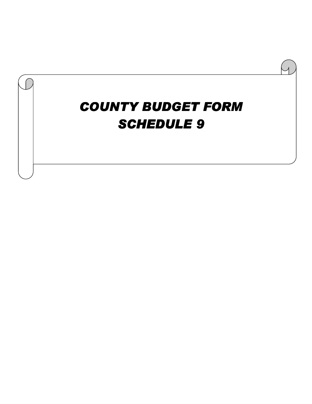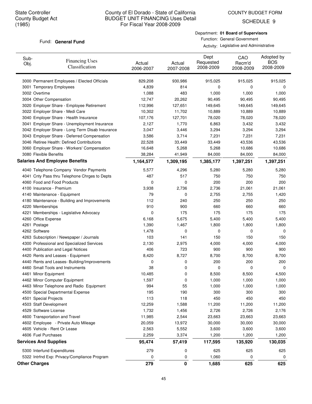SCHEDULE 9

#### Fund: General Fund

Department: **01 Board of Supervisors** Function: General Government

| Sub-<br>Obj. | <b>Financing Uses</b><br>Classification         | Actual<br>2006-2007 | Actual<br>2007-2008 | Dept<br>Requested<br>2008-2009 | CAO<br>Recm'd<br>2008-2009 | Adopted by<br><b>BOS</b><br>2008-2009 |
|--------------|-------------------------------------------------|---------------------|---------------------|--------------------------------|----------------------------|---------------------------------------|
|              | 3000 Permanent Employees / Elected Officials    | 829,208             | 930,986             | 915,025                        | 915,025                    | 915,025                               |
|              | 3001 Temporary Employees                        | 4,839               | 814                 | 0                              | 0                          | 0                                     |
|              | 3002 Overtime                                   | 1,088               | 483                 | 1,000                          | 1,000                      | 1,000                                 |
|              | 3004 Other Compensation                         | 12,747              | 20,262              | 90,495                         | 90,495                     | 90,495                                |
|              | 3020 Employer Share - Employee Retirement       | 112,996             | 127,651             | 149,645                        | 149,645                    | 149,645                               |
|              | 3022 Employer Share - Medi Care                 | 10,302              | 11,702              | 10,889                         | 10,889                     | 10,889                                |
|              | 3040 Employer Share - Health Insurance          | 107,176             | 127,701             | 78,020                         | 78,020                     | 78,020                                |
|              | 3041 Employer Share - Unemployment Insurance    | 2,127               | 1,770               | 6,863                          | 3,432                      | 3,432                                 |
|              | 3042 Employer Share - Long Term Disab Insurance | 3,047               | 3,446               | 3,294                          | 3,294                      | 3,294                                 |
|              | 3043 Employer Share - Deferred Compensation     | 3,586               | 3,714               | 7,231                          | 7,231                      | 7,231                                 |
|              | 3046 Retiree Health: Defined Contributions      | 22,528              | 33,449              | 33,449                         | 43,536                     | 43,536                                |
|              | 3060 Employer Share - Workers' Compensation     | 16,648              | 5,268               | 5,268                          | 10,686                     | 10,686                                |
|              | 3080 Flexible Benefits                          | 38,284              | 41,949              | 84,000                         | 84,000                     | 84,000                                |
|              | <b>Salaries And Employee Benefits</b>           | 1,164,577           | 1,309,195           | 1,385,177                      | 1,397,251                  | 1,397,251                             |
|              | 4040 Telephone Company Vendor Payments          | 5,577               | 4,296               | 5,280                          | 5,280                      | 5,280                                 |
|              | 4041 Cnty Pass thru Telephone Chrges to Depts   | 487                 | 517                 | 750                            | 750                        | 750                                   |
|              | 4060 Food and Food Products                     | 0                   | 0                   | 200                            | 200                        | 200                                   |
|              | 4100 Insurance - Premium                        | 3,938               | 2,736               | 2,736                          | 21,061                     | 21,061                                |
|              | 4140 Maintenance - Equipment                    | 79                  | 0                   | 2,755                          | 2,755                      | 1,420                                 |
|              | 4180 Maintenance - Building and Improvements    | 112                 | 240                 | 250                            | 250                        | 250                                   |
|              | 4220 Memberships                                | 910                 | 900                 | 660                            | 660                        | 660                                   |
|              | 4221 Memberships - Legislative Advocacy         | 0                   | 175                 | 175                            | 175                        | 175                                   |
|              | 4260 Office Expense                             | 6,168               | 5,675               | 5,400                          | 5,400                      | 5,400                                 |
|              | 4261 Postage                                    | 1,390               | 1,467               | 1,800                          | 1,800                      | 1,800                                 |
|              | 4262 Software                                   | 1,478               | 0                   | 0                              | 0                          | 0                                     |
|              | 4263 Subscription / Newspaper / Journals        | 103                 | 141                 | 150                            | 150                        | 150                                   |
|              | 4300 Professional and Specialized Services      | 2,130               | 2,975               | 4,000                          | 4,000                      | 4,000                                 |
|              | 4400 Publication and Legal Notices              | 406                 | 723                 | 900                            | 900                        | 900                                   |
|              | 4420 Rents and Leases - Equipment               | 8,420               | 8,727               | 8,700                          | 8,700                      | 8,700                                 |
|              | 4440 Rents and Leases- Building/Improvements    | 0                   | 0                   | 200                            | 200                        | 200                                   |
|              | 4460 Small Tools and Instruments                | 38                  | 0                   | 0                              | 0                          | 0                                     |
|              | 4461 Minor Equipment                            | 10,485              | 0                   | 8,500                          | 8,500                      | 4,500                                 |
|              | 4462 Minor Computer Equipment                   | 1,597               | 0                   | 1,000                          | 1,000                      | 1,000                                 |
|              | 4463 Minor Telephone and Radio Equipment        | 994                 | 55                  | 1,000                          | 1,000                      | 1,000                                 |
|              | 4500 Special Departmental Expense               | 195                 | 190                 | 300                            | 300                        | 300                                   |
|              | 4501 Special Projects                           | 113                 | 118                 | 450                            | 450                        | 450                                   |
|              | 4503 Staff Development                          | 12,259              | 1,588               | 11,200                         | 11,200                     | 11,200                                |
|              | 4529 Software License                           | 1,732               | 1,456               | 2,726                          | 2,726                      | 2,176                                 |
|              | 4600 Transportation and Travel                  | 11,985              | 2,544               | 23,663                         | 23,663                     | 23,663                                |
|              | 4602 Employee - Private Auto Mileage            | 20,059              | 13,972              | 30,000                         | 30,000                     | 30,000                                |
|              | 4605 Vehicle - Rent Or Lease                    | 2,563               | 5,552               | 3,600                          | 3,600                      | 3,600                                 |
|              | 4606 Fuel Purchases                             | 2,259               | 3,374               | 1,200                          | 1,200                      | 1,200                                 |
|              | <b>Services And Supplies</b>                    | 95,474              | 57,419              | 117,595                        | 135,920                    | 130,035                               |
|              | 5300 Interfund Expenditures                     | 279                 | 0                   | 625                            | 625                        | 625                                   |
|              | 5322 Intrfnd Exp: Privacy/Compliance Program    | 0                   | 0                   | 1,060                          | 0                          | 0                                     |
|              | <b>Other Charges</b>                            | 279                 | 0                   | 1,685                          | 625                        | 625                                   |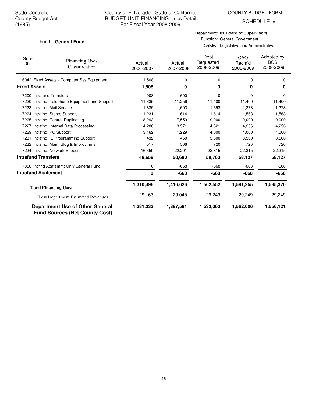SCHEDULE 9

#### Fund: General Fund

## Department: **01 Board of Supervisors** Function: General Government

| Sub-<br>Obj.               | <b>Financing Uses</b><br>Classification                                         | Actual<br>2006-2007 | Actual<br>2007-2008 | Dept<br>Requested<br>2008-2009 | CAO<br>Recm'd<br>2008-2009 | Adopted by<br><b>BOS</b><br>2008-2009 |
|----------------------------|---------------------------------------------------------------------------------|---------------------|---------------------|--------------------------------|----------------------------|---------------------------------------|
|                            | 6042 Fixed Assets - Computer Sys Equipment                                      | 1,508               | 0                   | 0                              | 0                          | 0                                     |
| <b>Fixed Assets</b>        |                                                                                 | 1,508               | 0                   | 0                              | 0                          | 0                                     |
|                            | 7200 Intrafund Transfers                                                        | 908                 | 600                 | 0                              | $\Omega$                   | 0                                     |
|                            | 7220 Intrafnd: Telephone Equipment and Support                                  | 11,635              | 11,256              | 11,400                         | 11,400                     | 11,400                                |
|                            | 7223 Intrafnd: Mail Service                                                     | 1,835               | 1,693               | 1,693                          | 1,373                      | 1,373                                 |
|                            | 7224 Intrafnd: Stores Support                                                   | 1,231               | 1,614               | 1,614                          | 1,563                      | 1,563                                 |
|                            | 7225 Intrafnd: Central Duplicating                                              | 8,293               | 7,559               | 9,000                          | 9,000                      | 9,000                                 |
|                            | 7227 Intrafnd: Internal Data Processing                                         | 4,286               | 3,571               | 4,521                          | 4,256                      | 4,256                                 |
|                            | 7229 Intrafnd: PC Support                                                       | 3,162               | 1,229               | 4,000                          | 4,000                      | 4,000                                 |
|                            | 7231 Intrafnd: IS Programming Support                                           | 432                 | 450                 | 3,500                          | 3,500                      | 3,500                                 |
|                            | 7232 Intrafnd: Maint Bldg & Improvmnts                                          | 517                 | 506                 | 720                            | 720                        | 720                                   |
|                            | 7234 Intrafnd: Network Support                                                  | 16,359              | 22,201              | 22,315                         | 22,315                     | 22,315                                |
| <b>Intrafund Transfers</b> |                                                                                 | 48,658              | 50,680              | 58,763                         | 58,127                     | 58,127                                |
|                            | 7350 Intrfnd Abatemnt: Only General Fund                                        | 0                   | $-668$              | $-668$                         | $-668$                     | $-668$                                |
| <b>Intrafund Abatement</b> |                                                                                 | 0                   | $-668$              | -668                           | $-668$                     | $-668$                                |
|                            | <b>Total Financing Uses</b>                                                     | 1,310,496           | 1,416,626           | 1,562,552                      | 1,591,255                  | 1,585,370                             |
|                            | Less Department Estimated Revenues                                              | 29,163              | 29,045              | 29,249                         | 29,249                     | 29,249                                |
|                            | <b>Department Use of Other General</b><br><b>Fund Sources (Net County Cost)</b> | 1,281,333           | 1,387,581           | 1,533,303                      | 1,562,006                  | 1,556,121                             |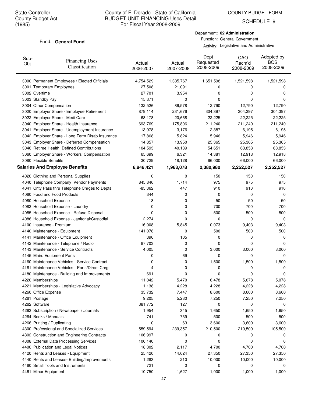SCHEDULE 9

#### Fund: General Fund

Department: **02 Administration** Function: General Government

| Sub-<br>Obj. | <b>Financing Uses</b><br>Classification         | Actual<br>2006-2007 | Actual<br>2007-2008 | Dept<br>Requested<br>2008-2009 | CAO<br>Recm'd<br>2008-2009 | Adopted by<br><b>BOS</b><br>2008-2009 |
|--------------|-------------------------------------------------|---------------------|---------------------|--------------------------------|----------------------------|---------------------------------------|
|              | 3000 Permanent Employees / Elected Officials    | 4,754,529           | 1,335,767           | 1,651,598                      | 1,521,598                  | 1,521,598                             |
|              | 3001 Temporary Employees                        | 27,508              | 21,091              | 0                              | 0                          | 0                                     |
|              | 3002 Overtime                                   | 27,701              | 3,954               | 0                              | 0                          | 0                                     |
|              | 3003 Standby Pay                                | 15,371              | 0                   | 0                              | 0                          | 0                                     |
|              | 3004 Other Compensation                         | 132,526             | 86,578              | 12,790                         | 12,790                     | 12,790                                |
|              | 3020 Employer Share - Employee Retirement       | 879,114             | 231,676             | 304,397                        | 304,397                    | 304,397                               |
|              | 3022 Employer Share - Medi Care                 | 68,178              | 20,668              | 22,225                         | 22,225                     | 22,225                                |
|              | 3040 Employer Share - Health Insurance          | 693,769             | 175,806             | 211,240                        | 211,240                    | 211,240                               |
|              | 3041 Employer Share - Unemployment Insurance    | 13,978              | 3,176               | 12,387                         | 6,195                      | 6,195                                 |
|              | 3042 Employer Share - Long Term Disab Insurance | 17,868              | 5,824               | 5,946                          | 5,946                      | 5,946                                 |
|              | 3043 Employer Share - Deferred Compensation     | 14,857              | 13,950              | 25,365                         | 25,365                     | 25,365                                |
|              | 3046 Retiree Health: Defined Contributions      | 104,593             | 40,139              | 54,651                         | 63,853                     | 63,853                                |
|              | 3060 Employer Share - Workers' Compensation     | 65,699              | 6,321               | 14,381                         | 12,918                     | 12,918                                |
|              | 3080 Flexible Benefits                          | 30,729              | 18,128              | 66,000                         | 66,000                     | 66,000                                |
|              | <b>Salaries And Employee Benefits</b>           | 6,846,421           | 1,963,078           | 2,380,980                      | 2,252,527                  | 2,252,527                             |
|              | 4020 Clothing and Personal Supplies             | 0                   | 0                   | 150                            | 150                        | 150                                   |
|              | 4040 Telephone Company Vendor Payments          | 845,846             | 1,714               | 975                            | 975                        | 975                                   |
|              | 4041 Cnty Pass thru Telephone Chrges to Depts   | $-85,362$           | 447                 | 910                            | 910                        | 910                                   |
|              | 4060 Food and Food Products                     | 344                 | 0                   | 0                              | 0                          | 0                                     |
|              | 4080 Household Expense                          | 18                  | 0                   | 50                             | 50                         | 50                                    |
|              | 4083 Household Expense - Laundry                | 0                   | 0                   | 700                            | 700                        | 700                                   |
|              | 4085 Household Expense - Refuse Disposal        | 0                   | 0                   | 500                            | 500                        | 500                                   |
|              | 4086 Household Expense - Janitorial/Custodial   | 2,274               | 0                   | 0                              | 0                          | 0                                     |
|              | 4100 Insurance - Premium                        | 16,008              | 5,845               | 10,073                         | 9,403                      | 9,403                                 |
|              | 4140 Maintenance - Equipment                    | 141,078             | 0                   | 500                            | 500                        | 500                                   |
|              | 4141 Maintenance - Office Equipment             | 396                 | 105                 | 0                              | 0                          | 0                                     |
|              | 4142 Maintenance - Telephone / Radio            | 87,703              | 0                   | 0                              | 0                          | 0                                     |
|              | 4143 Maintenance - Service Contracts            | 4,005               | 0                   | 3,000                          | 3,000                      | 3,000                                 |
|              | 4145 Main: Equipment Parts                      | 0                   | 69                  | 0                              | 0                          | 0                                     |
|              | 4160 Maintenance Vehicles - Service Contract    | 0                   | 0                   | 1,500                          | 1,500                      | 1,500                                 |
|              | 4161 Maintenance Vehicles - Parts/Direct Chrg   | 4                   | 0                   | 0                              | 0                          | 0                                     |
|              | 4180 Maintenance - Building and Improvements    | 691                 | 0                   | 0                              | 0                          | 0                                     |
|              | 4220 Memberships                                | 11,042              | 5,470               | 6,478                          | 5,078                      | 5,078                                 |
|              | 4221 Memberships - Legislative Advocacy         | 1,138               | 4,228               | 4,228                          | 4,228                      | 4,228                                 |
|              | 4260 Office Expense                             | 35,732              | 7,447               | 8,600                          | 8,600                      | 8,600                                 |
|              | 4261 Postage                                    | 9,205               | 5,230               | 7,250                          | 7,250                      | 7,250                                 |
|              | 4262 Software                                   | 381,772             | 127                 | 0                              | 0                          | 0                                     |
|              | 4263 Subscription / Newspaper / Journals        | 1,954               | 345                 | 1,650                          | 1,650                      | 1,650                                 |
|              | 4264 Books / Manuals                            | 741                 | 739                 | 500                            | 500                        | 500                                   |
|              | 4266 Printing / Duplicating                     | 0                   | 63                  | 3,600                          | 3,600                      | 3,600                                 |
|              | 4300 Professional and Specialized Services      | 559,594             | 239,357             | 210,500                        | 210,500                    | 105,500                               |
|              | 4302 Construction and Engineering Contracts     | 106,997             | 0                   | 0                              | 0                          | 0                                     |
|              | 4308 External Data Processing Services          | 100,140             | 0                   | 0                              | 0                          | 0                                     |
|              | 4400 Publication and Legal Notices              | 18,302              | 2,117               | 4,700                          | 4,700                      | 4,700                                 |
|              | 4420 Rents and Leases - Equipment               | 25,420              | 14,624              | 27,350                         | 27,350                     | 27,350                                |
|              | 4440 Rents and Leases- Building/Improvements    | 1,283               | 210                 | 10,000                         | 10,000                     | 10,000                                |
|              | 4460 Small Tools and Instruments                | 721                 | 0                   | 0                              | 0                          | 0                                     |
|              | 4461 Minor Equipment                            | 10,750              | 1,627               | 1,000                          | 1,000                      | 1,000                                 |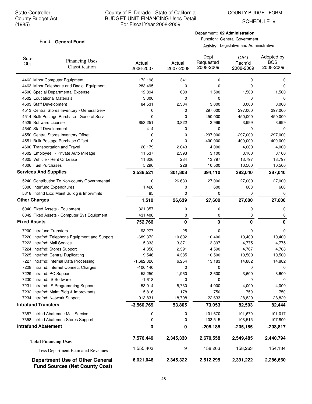COUNTY BUDGET FORM

SCHEDULE 9

#### Fund: General Fund

Department: **02 Administration** Function: General Government

| Sub-<br>Obj.                                        | <b>Financing Uses</b><br>Classification                                         | Actual<br>2006-2007 | Actual<br>2007-2008 | Dept<br>Requested<br>2008-2009 | CAO<br>Recm'd<br>2008-2009 | Adopted by<br><b>BOS</b><br>2008-2009 |
|-----------------------------------------------------|---------------------------------------------------------------------------------|---------------------|---------------------|--------------------------------|----------------------------|---------------------------------------|
|                                                     | 4462 Minor Computer Equipment                                                   | 172,198             | 341                 | 0                              | 0                          | 0                                     |
|                                                     | 4463 Minor Telephone and Radio Equipment                                        | 283,495             | 0                   | 0                              | $\Omega$                   | 0                                     |
|                                                     | 4500 Special Departmental Expense                                               | 12,894              | 630                 | 1,500                          | 1,500                      | 1,500                                 |
| 4502 Educational Materials                          |                                                                                 | 3,306               | 0                   | 0                              | 0                          | 0                                     |
| 4503 Staff Development                              |                                                                                 | 84,531              | 2,304               | 3,000                          | 3,000                      | 3,000                                 |
|                                                     | 4513 Central Stores Inventory - General Serv                                    | 0                   | 0                   | 297,000                        | 297,000                    | 297,000                               |
|                                                     | 4514 Bulk Postage Purchase - General Serv                                       | 0                   | 0                   | 450,000                        | 450,000                    | 450,000                               |
| 4529 Software License                               |                                                                                 | 653,251             | 3,822               | 3,999                          | 3,999                      | 3,999                                 |
| 4540 Staff Development                              |                                                                                 | 414                 | 0                   | 0                              | 0                          | 0                                     |
|                                                     | 4550 Central Stores Inventory Offset                                            | 0                   | 0                   | $-297,000$                     | $-297,000$                 | $-297,000$                            |
|                                                     | 4551 Bulk Postage Purchase Offset                                               | 0                   | 0                   | $-400,000$                     | $-400,000$                 | $-400,000$                            |
|                                                     | 4600 Transportation and Travel                                                  | 20,179              | 2,043               | 4,000                          | 4,000                      | 4,000                                 |
|                                                     | 4602 Employee - Private Auto Mileage                                            | 11,537              | 2,393               | 3,100                          | 3,100                      | 3,100                                 |
| 4605 Vehicle - Rent Or Lease                        |                                                                                 | 11,626              | 284                 | 13,797                         | 13,797                     | 13,797                                |
| 4606 Fuel Purchases<br><b>Services And Supplies</b> |                                                                                 | 5,296<br>3,536,521  | 226<br>301,808      | 10,500<br>394,110              | 10,500<br>392,040          | 10,500<br>287,040                     |
|                                                     |                                                                                 |                     |                     |                                |                            |                                       |
|                                                     | 5240 Contribution To Non-county Governmental                                    | 0                   | 26,639              | 27,000                         | 27,000                     | 27,000                                |
| 5300 Interfund Expenditures                         |                                                                                 | 1,426               | 0                   | 600                            | 600<br>0                   | 600                                   |
| <b>Other Charges</b>                                | 5318 Intrfnd Exp: Maint Buildg & Imprvmnts                                      | 85                  | 0                   | 0                              |                            | 0                                     |
|                                                     |                                                                                 | 1,510               | 26,639              | 27,600                         | 27,600                     | 27,600                                |
|                                                     | 6040 Fixed Assets - Equipment                                                   | 321,357             | 0                   | 0                              | 0                          | 0                                     |
|                                                     | 6042 Fixed Assets - Computer Sys Equipment                                      | 431,408             | 0                   | 0                              | 0                          | 0                                     |
| <b>Fixed Assets</b>                                 |                                                                                 | 752,766             | 0                   | 0                              | 0                          | 0                                     |
| 7200 Intrafund Transfers                            |                                                                                 | $-93,277$           | 25                  | 0                              | 0                          | 0                                     |
|                                                     | 7220 Intrafnd: Telephone Equipment and Support                                  | $-689,372$          | 10,802              | 10,400                         | 10,400                     | 10,400                                |
| 7223 Intrafnd: Mail Service                         |                                                                                 | 5,333               | 3,371               | 3,397                          | 4,775                      | 4,775                                 |
| 7224 Intrafnd: Stores Support                       |                                                                                 | 4,358               | 2,391               | 4,590                          | 4,767                      | 4,708                                 |
|                                                     | 7225 Intrafnd: Central Duplicating                                              | 9,546               | 4,385               | 10,500                         | 10,500                     | 10,500                                |
|                                                     | 7227 Intrafnd: Internal Data Processing                                         | $-1,682,320$        | 6,254               | 13,183                         | 14,882                     | 14,882                                |
|                                                     | 7228 Intrafnd: Internet Connect Charges                                         | $-100, 140$         | 0                   | 0                              | 0                          | 0                                     |
| 7229 Intrafnd: PC Support                           |                                                                                 | $-52,250$           | 1,960               | 3,600                          | 3,600                      | 3,600                                 |
| 7230 Intrafnd: IS Software                          |                                                                                 | $-1,618$            | 0                   | 0                              | $\mathbf 0$                | 0                                     |
|                                                     | 7231 Intrafnd: IS Programming Support<br>7232 Intrafnd: Maint Bldg & Improvmnts | $-53,014$           | 5,730<br>178        | 4,000<br>750                   | 4,000<br>750               | 4,000<br>750                          |
|                                                     | 7234 Intrafnd: Network Support                                                  | 5,816<br>$-913,831$ | 18,708              | 22,633                         | 28,829                     | 28,829                                |
| <b>Intrafund Transfers</b>                          |                                                                                 | $-3,560,769$        | 53,805              | 73,053                         | 82,503                     | 82,444                                |
|                                                     |                                                                                 |                     |                     | $-101,670$                     |                            |                                       |
|                                                     | 7357 Intrfnd Abatemnt: Mail Service                                             | 0                   | 0                   |                                | $-101,670$                 | $-101,017$                            |
| <b>Intrafund Abatement</b>                          | 7358 Intrfnd Abatemnt: Stores Support                                           | 0<br>0              | 0                   | $-103,515$                     | $-103,515$                 | $-107,800$                            |
|                                                     |                                                                                 |                     | 0                   | $-205,185$                     | $-205,185$                 | -208,817                              |
|                                                     | <b>Total Financing Uses</b>                                                     | 7,576,449           | 2,345,330           | 2,670,558                      | 2,549,485                  | 2,440,794                             |
|                                                     | Less Department Estimated Revenues                                              | 1,555,403           | 9                   | 158,263                        | 158,263                    | 154,134                               |
|                                                     | <b>Department Use of Other General</b><br><b>Fund Sources (Net County Cost)</b> | 6,021,046           | 2,345,322           | 2,512,295                      | 2,391,222                  | 2,286,660                             |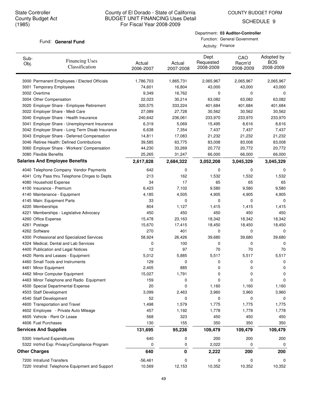SCHEDULE 9

#### Fund: General Fund

| Department: 03 Auditor-Controller |
|-----------------------------------|
| Function: General Government      |

Activity: Finance

| Sub-<br>Obj. | <b>Financing Uses</b><br>Classification         | Actual<br>2006-2007 | Actual<br>2007-2008 | Dept<br>Requested<br>2008-2009 | CAO<br>Recm'd<br>2008-2009 | Adopted by<br><b>BOS</b><br>2008-2009 |
|--------------|-------------------------------------------------|---------------------|---------------------|--------------------------------|----------------------------|---------------------------------------|
|              | 3000 Permanent Employees / Elected Officials    | 1,786,703           | 1,865,731           | 2,065,967                      | 2,065,967                  | 2,065,967                             |
|              | 3001 Temporary Employees                        | 74,601              | 16,804              | 43,000                         | 43,000                     | 43,000                                |
|              | 3002 Overtime                                   | 9,349               | 16,762              | 0                              | 0                          | 0                                     |
|              | 3004 Other Compensation                         | 22,023              | 30,214              | 63,082                         | 63,082                     | 63,082                                |
|              | 3020 Employer Share - Employee Retirement       | 320,575             | 333,224             | 401,684                        | 401,684                    | 401,684                               |
|              | 3022 Employer Share - Medi Care                 | 27,089              | 27,728              | 30,562                         | 30,562                     | 30,562                                |
|              | 3040 Employer Share - Health Insurance          | 240,642             | 236,061             | 233,970                        | 233,970                    | 233,970                               |
|              | 3041 Employer Share - Unemployment Insurance    | 6,319               | 5,069               | 15,495                         | 8,616                      | 8,616                                 |
|              | 3042 Employer Share - Long Term Disab Insurance | 6,638               | 7,354               | 7,437                          | 7,437                      | 7,437                                 |
|              | 3043 Employer Share - Deferred Compensation     | 14,811              | 17,083              | 21,232                         | 21,232                     | 21,232                                |
|              | 3046 Retiree Health: Defined Contributions      | 39,585              | 63,775              | 83,008                         | 83,008                     | 83,008                                |
|              | 3060 Employer Share - Workers' Compensation     | 44,230              | 33,269              | 20,772                         | 20,772                     | 20,772                                |
|              | 3080 Flexible Benefits                          | 25,265              | 31,247              | 66,000                         | 66,000                     | 66,000                                |
|              | <b>Salaries And Employee Benefits</b>           | 2,617,828           | 2,684,322           | 3,052,208                      | 3,045,329                  | 3,045,329                             |
|              | 4040 Telephone Company Vendor Payments          | 642                 | 0                   | 0                              | 0                          | 0                                     |
|              | 4041 Cnty Pass thru Telephone Chrges to Depts   | 213                 | 162                 | 1,532                          | 1,532                      | 1,532                                 |
|              | 4080 Household Expense                          | 34                  | 17                  | 65                             | 65                         | 65                                    |
|              | 4100 Insurance - Premium                        | 6,423               | 7,102               | 9,580                          | 9,580                      | 9,580                                 |
|              | 4140 Maintenance - Equipment                    | 4,185               | 4,505               | 4,905                          | 4,905                      | 4,905                                 |
|              | 4145 Main: Equipment Parts                      | 33                  | 0                   | 0                              | 0                          | 0                                     |
|              | 4220 Memberships                                | 804                 | 1,127               | 1,415                          | 1,415                      | 1,415                                 |
|              | 4221 Memberships - Legislative Advocacy         | 450                 | 450                 | 450                            | 450                        | 450                                   |
|              | 4260 Office Expense                             | 15,478              | 23,163              | 18,342                         | 18,342                     | 18,342                                |
|              | 4261 Postage                                    | 15,670              | 17,415              | 18,450                         | 18,450                     | 18,450                                |
|              | 4262 Software                                   | 270                 | 401                 | 0                              | 0                          | 0                                     |
|              | 4300 Professional and Specialized Services      | 58,924              | 26,426              | 39,680                         | 39,680                     | 39,680                                |
|              | 4324 Medical, Dental and Lab Services           | 0                   | 100                 | 0                              | 0                          | 0                                     |
|              | 4400 Publication and Legal Notices              | 12                  | 97                  | 70                             | 70                         | 70                                    |
|              | 4420 Rents and Leases - Equipment               | 5,012               | 5,885               | 5,517                          | 5,517                      | 5,517                                 |
|              | 4460 Small Tools and Instruments                | 129                 | 0                   | 0                              | 0                          | 0                                     |
|              | 4461 Minor Equipment                            | 2,405               | 885                 | 0                              | 0                          | 0                                     |
|              | 4462 Minor Computer Equipment                   | 15,027              | 1,791               | 0                              | 0                          | 0                                     |
|              | 4463 Minor Telephone and Radio Equipment        | 159                 | 0                   | 0                              | 0                          | 0                                     |
|              | 4500 Special Departmental Expense               | 20                  | 0                   | 1,160                          | 1,160                      | 1,160                                 |
|              | 4503 Staff Development                          | 3,099               | 2,463               | 3,960                          | 3,960                      | 3,960                                 |
|              | 4540 Staff Development                          | 52                  | 0                   | 0                              | 0                          | 0                                     |
|              | 4600 Transportation and Travel                  | 1,498               | 1,579               | 1,775                          | 1,775                      | 1,775                                 |
|              | 4602 Employee - Private Auto Mileage            | 457                 | 1,192               | 1,778                          | 1,778                      | 1,778                                 |
|              | 4605 Vehicle - Rent Or Lease                    | 568                 | 323                 | 450                            | 450                        | 450                                   |
|              | 4606 Fuel Purchases                             | 130                 | 155                 | 350                            | 350                        | 350                                   |
|              | <b>Services And Supplies</b>                    | 131,695             | 95,238              | 109,479                        | 109,479                    | 109,479                               |
|              | 5300 Interfund Expenditures                     | 640                 | 0                   | 200                            | 200                        | 200                                   |
|              | 5322 Intrfnd Exp: Privacy/Compliance Program    | 0                   | 0                   | 2,022                          | 0                          | 0                                     |
|              | <b>Other Charges</b>                            | 640                 | 0                   | 2,222                          | 200                        | 200                                   |
|              | 7200 Intrafund Transfers                        | $-56,461$           | 0                   | 0                              | 0                          | 0                                     |
|              | 7220 Intrafnd: Telephone Equipment and Support  | 10,569              | 12,153              | 10,352                         | 10,352                     | 10,352                                |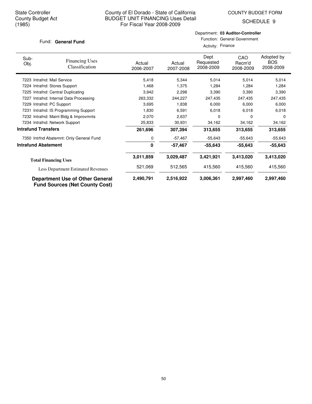SCHEDULE 9

#### Fund: General Fund

#### Department: **03 Auditor-Controller** Function: General Government

Activity: Finance

| Sub-<br>Obj.               | <b>Financing Uses</b><br>Classification                                         | Actual<br>2006-2007 | Actual<br>2007-2008 | Dept<br>Requested<br>2008-2009 | <b>CAO</b><br>Recm'd<br>2008-2009 | Adopted by<br><b>BOS</b><br>2008-2009 |
|----------------------------|---------------------------------------------------------------------------------|---------------------|---------------------|--------------------------------|-----------------------------------|---------------------------------------|
|                            | 7223 Intrafnd: Mail Service                                                     | 5,418               | 5,344               | 5,014                          | 5,014                             | 5,014                                 |
|                            | 7224 Intrafnd: Stores Support                                                   | 1,468               | 1,375               | 1,284                          | 1,284                             | 1,284                                 |
|                            | 7225 Intrafnd: Central Duplicating                                              | 3,942               | 2,298               | 3,390                          | 3,390                             | 3,390                                 |
| 7227                       | Intrafnd: Internal Data Processing                                              | 263,332             | 244,227             | 247,435                        | 247,435                           | 247,435                               |
|                            | 7229 Intrafnd: PC Support                                                       | 3,695               | 1,838               | 6,000                          | 6,000                             | 6,000                                 |
|                            | 7231 Intrafnd: IS Programming Support                                           | 1,830               | 6,591               | 6,018                          | 6,018                             | 6,018                                 |
|                            | 7232 Intrafnd: Maint Bldg & Improvmnts                                          | 2,070               | 2,637               | 0                              | 0                                 | $\Omega$                              |
|                            | 7234 Intrafnd: Network Support                                                  | 25,833              | 30,931              | 34,162                         | 34,162                            | 34,162                                |
| <b>Intrafund Transfers</b> |                                                                                 | 261,696             | 307,394             | 313,655                        | 313,655                           | 313,655                               |
|                            | 7350 Intrfnd Abatemnt: Only General Fund                                        | 0                   | $-57,467$           | $-55,643$                      | $-55,643$                         | $-55,643$                             |
| <b>Intrafund Abatement</b> |                                                                                 | 0                   | $-57,467$           | $-55,643$                      | $-55,643$                         | $-55,643$                             |
|                            | <b>Total Financing Uses</b>                                                     | 3,011,859           | 3,029,487           | 3,421,921                      | 3,413,020                         | 3,413,020                             |
|                            | <b>Less Department Estimated Revenues</b>                                       | 521,069             | 512,565             | 415,560                        | 415,560                           | 415,560                               |
|                            | <b>Department Use of Other General</b><br><b>Fund Sources (Net County Cost)</b> | 2,490,791           | 2,516,922           | 3,006,361                      | 2,997,460                         | 2,997,460                             |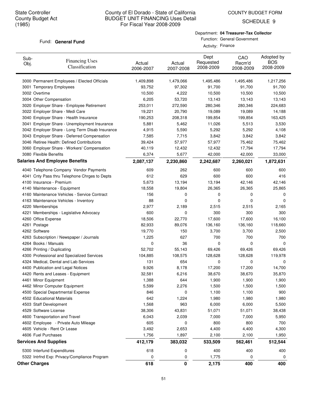COUNTY BUDGET FORM

SCHEDULE 9

#### Fund: General Fund

Department: **04 Treasurer-Tax Collector**

Function: General Government Activity: Finance

| Sub-<br>Obj. | <b>Financing Uses</b><br>Classification         | Actual<br>2006-2007 | Actual<br>2007-2008 | Dept<br>Requested<br>2008-2009 | CAO<br>Recm'd<br>2008-2009 | Adopted by<br><b>BOS</b><br>2008-2009 |
|--------------|-------------------------------------------------|---------------------|---------------------|--------------------------------|----------------------------|---------------------------------------|
|              | 3000 Permanent Employees / Elected Officials    | 1,409,898           | 1,479,066           | 1,495,486                      | 1,495,486                  | 1,217,256                             |
|              | 3001 Temporary Employees                        | 93,752              | 97,302              | 91,700                         | 91,700                     | 91,700                                |
|              | 3002 Overtime                                   | 10,500              | 4,222               | 10,500                         | 10,500                     | 10,500                                |
|              | 3004 Other Compensation                         | 6,205               | 53,720              | 13,143                         | 13,143                     | 13,143                                |
|              | 3020 Employer Share - Employee Retirement       | 253,011             | 272,590             | 280,346                        | 280,346                    | 224,683                               |
|              | 3022 Employer Share - Medi Care                 | 19,221              | 20,790              | 19,089                         | 19,089                     | 14,188                                |
|              | 3040 Employer Share - Health Insurance          | 190,253             | 208,318             | 199,854                        | 199,854                    | 163,425                               |
|              | 3041 Employer Share - Unemployment Insurance    | 5,881               | 5,462               | 11,026                         | 5,513                      | 3,530                                 |
|              | 3042 Employer Share - Long Term Disab Insurance | 4,915               | 5,590               | 5,292                          | 5,292                      | 4,108                                 |
|              | 3043 Employer Share - Deferred Compensation     | 7,585               | 7,715               | 3,842                          | 3,842                      | 3,842                                 |
|              | 3046 Retiree Health: Defined Contributions      | 39,424              | 57,977              | 57,977                         | 75,462                     | 75,462                                |
|              | 3060 Employer Share - Workers' Compensation     | 40,119              | 12,432              | 12,432                         | 17,794                     | 17,794                                |
|              | 3080 Flexible Benefits                          | 6,374               | 5,677               | 42,000                         | 42,000                     | 33,000                                |
|              | <b>Salaries And Employee Benefits</b>           | 2,087,137           | 2,230,860           | 2,242,687                      | 2,260,021                  | 1,872,631                             |
|              | 4040 Telephone Company Vendor Payments          | 609                 | 262                 | 600                            | 600                        | 600                                   |
|              | 4041 Cnty Pass thru Telephone Chrges to Depts   | 612                 | 629                 | 600                            | 600                        | 416                                   |
|              | 4100 Insurance - Premium                        | 5,673               | 13,194              | 13,194                         | 42,146                     | 42,146                                |
|              | 4140 Maintenance - Equipment                    | 18,558              | 19,804              | 26,365                         | 26,365                     | 25,865                                |
|              | 4160 Maintenance Vehicles - Service Contract    | 156                 | 0                   | 0                              | 0                          | 0                                     |
|              | 4163 Maintenance Vehicles - Inventory           | 88                  | 0                   | 0                              | 0                          | 0                                     |
|              | 4220 Memberships                                | 2,977               | 2,189               | 2,515                          | 2,515                      | 2,165                                 |
|              | 4221 Memberships - Legislative Advocacy         | 600                 | 0                   | 300                            | 300                        | 300                                   |
|              | 4260 Office Expense                             | 18,506              | 22,770              | 17,600                         | 17,600                     | 16,100                                |
|              | 4261 Postage                                    | 82,933              | 89,076              | 136,160                        | 136,160                    | 118,660                               |
|              | 4262 Software                                   | 19,770              | 150                 | 3,700                          | 3,700                      | 2,500                                 |
|              | 4263 Subscription / Newspaper / Journals        | 1,225               | 627                 | 700                            | 700                        | 700                                   |
|              | 4264 Books / Manuals                            | 0                   | 36                  | 0                              | 0                          | 0                                     |
|              | 4266 Printing / Duplicating                     | 52,702              | 55,143              | 69,426                         | 69,426                     | 69,426                                |
|              | 4300 Professional and Specialized Services      | 104,885             | 108,575             | 128,628                        | 128,628                    | 119,978                               |
|              | 4324 Medical, Dental and Lab Services           | 131                 | 654                 | 0                              | 0                          | 0                                     |
|              | 4400 Publication and Legal Notices              | 9,926               | 8,178               | 17,200                         | 17,200                     | 14,700                                |
|              | 4420 Rents and Leases - Equipment               | 32,581              | 6,216               | 38,670                         | 38,670                     | 35,870                                |
|              | 4461 Minor Equipment                            | 1,388               | 644                 | 1,900                          | 1,900                      | 1,900                                 |
|              | 4462 Minor Computer Equipment                   | 5,599               | 2,276               | 1,500                          | 1,500                      | 1,500                                 |
|              | 4500 Special Departmental Expense               | 846                 | 0                   | 1,100                          | 1,100                      | 900                                   |
|              | 4502 Educational Materials                      | 642                 | 1,224               | 1,980                          | 1,980                      | 1,980                                 |
|              | 4503 Staff Development                          | 1,568               | 963                 | 6,000                          | 6,000                      | 5,500                                 |
|              | 4529 Software License                           | 38,306              | 43,831              | 51,071                         | 51,071                     | 38,438                                |
|              | 4600 Transportation and Travel                  | 6,043               | 2,039               | 7,000                          | 7,000                      | 5,950                                 |
|              | 4602 Employee - Private Auto Mileage            | 605                 | 0                   | 800                            | 800                        | 700                                   |
|              | 4605 Vehicle - Rent Or Lease                    | 3,492               | 2,653               | 4,400                          | 4,400                      | 4,300                                 |
|              | 4606 Fuel Purchases                             | 1,756               | 1,897               | 2,100                          | 2,100                      | 1,950                                 |
|              | <b>Services And Supplies</b>                    | 412,179             | 383,032             | 533,509                        | 562,461                    | 512,544                               |
|              | 5300 Interfund Expenditures                     | 618                 | 0                   | 400                            | 400                        | 400                                   |
|              | 5322 Intrfnd Exp: Privacy/Compliance Program    | 0                   | 0                   | 1,775                          | 0                          | 0                                     |
|              | <b>Other Charges</b>                            | 618                 | 0                   | 2,175                          | 400                        | 400                                   |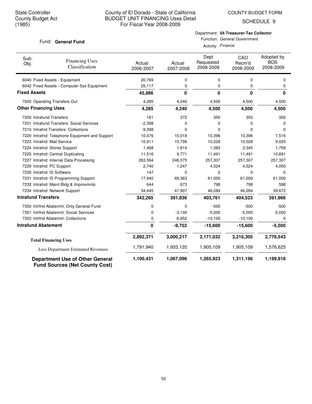COUNTY BUDGET FORM

SCHEDULE 9

#### Fund: General Fund

# Department: **04 Treasurer-Tax Collector**

Function: General Government Activity: Finance

| Sub-<br>Obj.                | <b>Financing Uses</b><br>Classification                                         | Actual<br>2006-2007 | Actual<br>2007-2008 | Dept<br>Requested<br>2008-2009 | CAO<br>Recm'd<br>2008-2009 | Adopted by<br><b>BOS</b><br>2008-2009 |
|-----------------------------|---------------------------------------------------------------------------------|---------------------|---------------------|--------------------------------|----------------------------|---------------------------------------|
|                             | 6040 Fixed Assets - Equipment                                                   | 20,769              | 0                   | 0                              | $\mathbf 0$                | $\Omega$                              |
|                             | 6042 Fixed Assets - Computer Sys Equipment                                      | 25,117              | 0                   | 0                              | 0                          | 0                                     |
| <b>Fixed Assets</b>         |                                                                                 | 45,886              | 0                   | 0                              | $\bf{0}$                   | 0                                     |
|                             | 7000 Operating Transfers Out                                                    | 4,285               | 4,240               | 4,500                          | 4,500                      | 4,500                                 |
| <b>Other Financing Uses</b> |                                                                                 | 4,285               | 4,240               | 4,500                          | 4,500                      | 4,500                                 |
| 7200 Intrafund Transfers    |                                                                                 | 181                 | 372                 | 350                            | 350                        | 350                                   |
|                             | 7201 Intrafund Transfers: Social Services                                       | $-2,398$            | 0                   | 0                              | $\Omega$                   | 0                                     |
|                             | 7210 Intrafnd Transfers: Collections                                            | $-9,398$            | 0                   | 0                              | $\Omega$                   | 0                                     |
|                             | 7220 Intrafnd: Telephone Equipment and Support                                  | 10,476              | 10,018              | 10,396                         | 10,396                     | 7,516                                 |
| 7223 Intrafnd: Mail Service |                                                                                 | 10,911              | 10,796              | 10,228                         | 10,028                     | 9,025                                 |
|                             | 7224 Intrafnd: Stores Support                                                   | 1,468               | 1,614               | 1,383                          | 2,345                      | 1,759                                 |
|                             | 7225 Intrafnd: Central Duplicating                                              | 11,516              | 9,771               | 11,491                         | 11,491                     | 10,691                                |
|                             | 7227 Intrafnd: Internal Data Processing                                         | 263,594             | 246,075             | 257,307                        | 257,307                    | 257,307                               |
| 7229 Intrafnd: PC Support   |                                                                                 | 2,740               | 1,247               | 4,524                          | 4,524                      | 4,050                                 |
| 7230 Intrafnd: IS Software  |                                                                                 | 147                 | 0                   | $\mathbf 0$                    | $\mathbf 0$                | 0                                     |
|                             | 7231 Intrafnd: IS Programming Support                                           | 17,940              | 69,363              | 61,000                         | 61,000                     | 61,000                                |
|                             | 7232 Intrafnd: Maint Bldg & Improvmnts                                          | 644                 | 673                 | 798                            | 798                        | 598                                   |
|                             | 7234 Intrafnd: Network Support                                                  | 34,445              | 41,907              | 46,284                         | 46,284                     | 39,672                                |
| <b>Intrafund Transfers</b>  |                                                                                 | 342,265             | 391,836             | 403,761                        | 404,523                    | 391,968                               |
|                             | 7350 Intrfnd Abatemnt: Only General Fund                                        | 0                   | 0                   | $-500$                         | $-500$                     | $-500$                                |
|                             | 7351 Intrfnd Abatemnt: Social Services                                          | 0                   | $-3,100$            | $-5,000$                       | $-5,000$                   | $-5,000$                              |
|                             | 7353 Intrfnd Abatemnt: Collections                                              | 0                   | $-6,652$            | $-10,100$                      | $-10,100$                  | 0                                     |
| <b>Intrafund Abatement</b>  |                                                                                 | $\mathbf 0$         | $-9,752$            | $-15,600$                      | $-15,600$                  | $-5,500$                              |
|                             | <b>Total Financing Uses</b>                                                     | 2,892,371           | 3,000,217           | 3,171,032                      | 3,216,305                  | 2,776,543                             |
|                             | Less Department Estimated Revenues                                              | 1,791,940           | 1,933,120           | 1,905,109                      | 1,905,109                  | 1,576,625                             |
|                             | <b>Department Use of Other General</b><br><b>Fund Sources (Net County Cost)</b> | 1,100,431           | 1,067,096           | 1,265,923                      | 1,311,196                  | 1,199,918                             |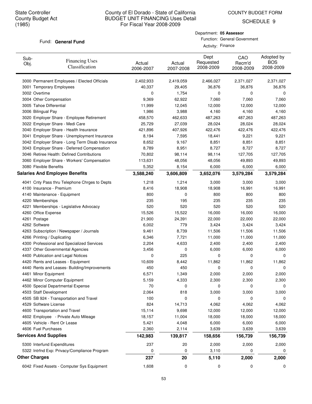COUNTY BUDGET FORM

SCHEDULE 9

#### Fund: General Fund

#### Department: **05 Assessor** Function: General Government

Activity: Finance

| Sub-<br>Obj. | <b>Financing Uses</b><br>Classification         | Actual<br>2006-2007 | Actual<br>2007-2008 | Dept<br>Requested<br>2008-2009 | CAO<br>Recm'd<br>2008-2009 | Adopted by<br><b>BOS</b><br>2008-2009 |
|--------------|-------------------------------------------------|---------------------|---------------------|--------------------------------|----------------------------|---------------------------------------|
|              | 3000 Permanent Employees / Elected Officials    | 2,402,933           | 2,419,059           | 2,466,027                      | 2,371,027                  | 2,371,027                             |
|              | 3001 Temporary Employees                        | 40,337              | 29,405              | 36,876                         | 36,876                     | 36,876                                |
|              | 3002 Overtime                                   | 0                   | 1,754               | 0                              | 0                          | 0                                     |
|              | 3004 Other Compensation                         | 9,369               | 62,922              | 7,060                          | 7,060                      | 7,060                                 |
|              | 3005 Tahoe Differential                         | 11,999              | 12,045              | 12,000                         | 12,000                     | 12,000                                |
|              | 3006 Bilingual Pay                              | 1,986               | 3,988               | 4,160                          | 4,160                      | 4,160                                 |
|              | 3020 Employer Share - Employee Retirement       | 458,570             | 462,633             | 487,263                        | 487,263                    | 487,263                               |
|              | 3022 Employer Share - Medi Care                 | 25,729              | 27,039              | 28,024                         | 28,024                     | 28,024                                |
|              | 3040 Employer Share - Health Insurance          | 421,896             | 407,926             | 422,476                        | 422,476                    | 422,476                               |
|              | 3041 Employer Share - Unemployment Insurance    | 8,194               | 7,595               | 18,441                         | 9,221                      | 9,221                                 |
|              | 3042 Employer Share - Long Term Disab Insurance | 8,652               | 9,167               | 8,851                          | 8,851                      | 8,851                                 |
|              | 3043 Employer Share - Deferred Compensation     | 8,789               | 8,951               | 8,727                          | 8,727                      | 8,727                                 |
|              | 3046 Retiree Health: Defined Contributions      | 70,802              | 98,114              | 98,114                         | 127,705                    | 127,705                               |
|              | 3060 Employer Share - Workers' Compensation     | 113,631             | 48,056              | 48,056                         | 49,893                     | 49,893                                |
|              | 3080 Flexible Benefits                          | 5,352               | 8,154               | 6,000                          | 6,000                      | 6,000                                 |
|              | <b>Salaries And Employee Benefits</b>           | 3,588,240           | 3,606,809           | 3,652,076                      | 3,579,284                  | 3,579,284                             |
|              | 4041 Cnty Pass thru Telephone Chrges to Depts   | 1,218               | 1,214               | 3,000                          | 3,000                      | 3,000                                 |
|              | 4100 Insurance - Premium                        | 8,416               | 18,908              | 18,908                         | 16,991                     | 16,991                                |
|              | 4140 Maintenance - Equipment                    | 800                 | 0                   | 800                            | 800                        | 800                                   |
|              | 4220 Memberships                                | 235                 | 195                 | 235                            | 235                        | 235                                   |
|              | 4221 Memberships - Legislative Advocacy         | 520                 | 520                 | 520                            | 520                        | 520                                   |
|              | 4260 Office Expense                             | 15,526              | 15,522              | 16,000                         | 16,000                     | 16,000                                |
|              | 4261 Postage                                    | 21,900              | 24,391              | 22,000                         | 22,000                     | 22,000                                |
|              | 4262 Software                                   | 6,002               | 779                 | 3,424                          | 3,424                      | 3,424                                 |
|              | 4263 Subscription / Newspaper / Journals        | 9,461               | 8,739               | 11,506                         | 11,506                     | 11,506                                |
|              | 4266 Printing / Duplicating                     | 6,346               | 7,721               | 11,000                         | 11,000                     | 11,000                                |
|              | 4300 Professional and Specialized Services      | 2,204               | 4,633               | 2,400                          | 2,400                      | 2,400                                 |
|              | 4337 Other Governmental Agencies                | 3,456               | 0                   | 6,000                          | 6,000                      | 6,000                                 |
|              | 4400 Publication and Legal Notices              | 0                   | 225                 | 0                              | 0                          | 0                                     |
|              | 4420 Rents and Leases - Equipment               | 10,609              | 8,442               | 11,862                         | 11,862                     | 11,862                                |
|              | 4440 Rents and Leases- Building/Improvements    | 450                 | 450                 | 0                              | 0                          | 0                                     |
|              | 4461 Minor Equipment                            | 6,571               | 1,349               | 2,000                          | 2,000                      | 2,000                                 |
|              | 4462 Minor Computer Equipment                   | 5,159               | 4,333               | 2,300                          | 2,300                      | 2,300                                 |
|              | 4500 Special Departmental Expense               | 70                  | 0                   | 0                              | 0                          | 0                                     |
|              | 4503 Staff Development                          | 2,064               | 818                 | 3,000                          | 3,000                      | 3,000                                 |
|              | 4505 SB 924 - Transportation and Travel         | 100                 | 0                   | 0                              | 0                          | 0                                     |
|              | 4529 Software License                           | 824                 | 14,713              | 4,062                          | 4,062                      | 4,062                                 |
|              | 4600 Transportation and Travel                  | 15,114              | 9,698               | 12,000                         | 12,000                     | 12,000                                |
|              | 4602 Employee - Private Auto Mileage            | 18,157              | 11,004              | 18,000                         | 18,000                     | 18,000                                |
|              | 4605 Vehicle - Rent Or Lease                    | 5,421               | 4,048               | 6,000                          | 6,000                      | 6,000                                 |
|              | 4606 Fuel Purchases                             | 2,360               | 2,114               | 3,639                          | 3,639                      | 3,639                                 |
|              | <b>Services And Supplies</b>                    | 142,983             | 139,817             | 158,656                        | 156,739                    | 156,739                               |
|              | 5300 Interfund Expenditures                     | 237                 | 20                  | 2,000                          | 2,000                      | 2,000                                 |
|              | 5322 Intrfnd Exp: Privacy/Compliance Program    | 0                   | 0                   | 3,110                          | 0                          | 0                                     |
|              | <b>Other Charges</b>                            | 237                 | 20                  | 5,110                          | 2,000                      | 2,000                                 |
|              | 6042 Fixed Assets - Computer Sys Equipment      | 1,608               | 0                   | 0                              | 0                          | 0                                     |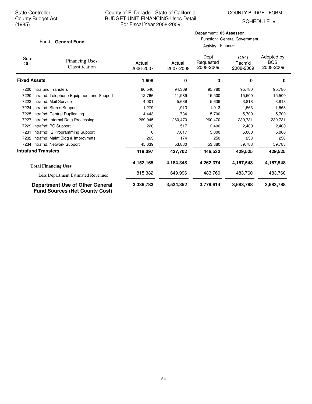COUNTY BUDGET FORM

SCHEDULE 9

#### Fund: General Fund

| Activity: Finance |
|-------------------|
|-------------------|

| Sub-<br>Obj.               | <b>Financing Uses</b><br>Classification                                         | Actual<br>2006-2007 | Actual<br>2007-2008 | Dept<br>Requested<br>2008-2009 | CAO<br>Recm'd<br>2008-2009 | Adopted by<br><b>BOS</b><br>2008-2009 |
|----------------------------|---------------------------------------------------------------------------------|---------------------|---------------------|--------------------------------|----------------------------|---------------------------------------|
| <b>Fixed Assets</b>        |                                                                                 | 1,608               | 0                   | 0                              | 0                          | 0                                     |
| 7200 Intrafund Transfers   |                                                                                 | 80,540              | 94,369              | 95,780                         | 95,780                     | 95,780                                |
| 7220                       | Intrafnd: Telephone Equipment and Support                                       | 12,766              | 11,989              | 15,500                         | 15,500                     | 15,500                                |
|                            | 7223 Intrafnd: Mail Service                                                     | 4,001               | 5,639               | 5,639                          | 3,818                      | 3,818                                 |
|                            | 7224 Intrafnd: Stores Support                                                   | 1,279               | 1,913               | 1,913                          | 1,563                      | 1,563                                 |
|                            | 7225 Intrafnd: Central Duplicating                                              | 4,443               | 1,734               | 5,700                          | 5,700                      | 5,700                                 |
|                            | 7227 Intrafnd: Internal Data Processing                                         | 269,945             | 260,470             | 260,470                        | 239,731                    | 239,731                               |
|                            | 7229 Intrafnd: PC Support                                                       | 220                 | 517                 | 2,400                          | 2,400                      | 2,400                                 |
| 7231                       | Intrafnd: IS Programming Support                                                | 0                   | 7,017               | 5,000                          | 5,000                      | 5,000                                 |
|                            | 7232 Intrafnd: Maint Bldg & Improvmnts                                          | 263                 | 174                 | 250                            | 250                        | 250                                   |
|                            | 7234 Intrafnd: Network Support                                                  | 45,639              | 53,880              | 53,880                         | 59,783                     | 59,783                                |
| <b>Intrafund Transfers</b> |                                                                                 | 419,097             | 437,702             | 446,532                        | 429,525                    | 429,525                               |
|                            | <b>Total Financing Uses</b>                                                     | 4,152,165           | 4,184,348           | 4,262,374                      | 4,167,548                  | 4,167,548                             |
|                            | Less Department Estimated Revenues                                              | 815,382             | 649,996             | 483,760                        | 483,760                    | 483,760                               |
|                            | <b>Department Use of Other General</b><br><b>Fund Sources (Net County Cost)</b> | 3,336,783           | 3,534,352           | 3,778,614                      | 3,683,788                  | 3,683,788                             |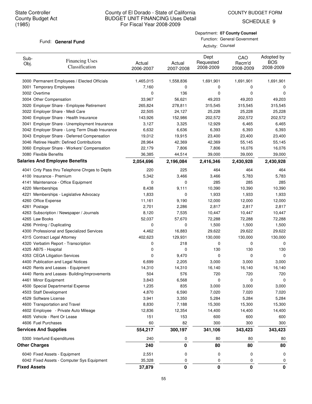SCHEDULE 9

#### Fund: General Fund

| Department: 07 County Counsel |
|-------------------------------|
| Function: General Government  |

Activity: Counsel

| Sub-<br>Obj.         | <b>Financing Uses</b><br>Classification         | Actual<br>2006-2007 | Actual<br>2007-2008 | Dept<br>Requested<br>2008-2009 | CAO<br>Recm'd<br>2008-2009 | Adopted by<br><b>BOS</b><br>2008-2009 |
|----------------------|-------------------------------------------------|---------------------|---------------------|--------------------------------|----------------------------|---------------------------------------|
|                      | 3000 Permanent Employees / Elected Officials    | 1,465,015           | 1,558,836           | 1,691,901                      | 1,691,901                  | 1,691,901                             |
|                      | 3001 Temporary Employees                        | 7,160               | 0                   | 0                              | 0                          | 0                                     |
| 3002 Overtime        |                                                 | 0                   | 136                 | 0                              | 0                          | 0                                     |
|                      | 3004 Other Compensation                         | 33,967              | 56,621              | 49,203                         | 49,203                     | 49,203                                |
|                      | 3020 Employer Share - Employee Retirement       | 265,824             | 278,811             | 315,545                        | 315,545                    | 315,545                               |
|                      | 3022 Employer Share - Medi Care                 | 22,505              | 24,127              | 25,228                         | 25,228                     | 25,228                                |
|                      | 3040 Employer Share - Health Insurance          | 143,926             | 152,986             | 202,572                        | 202,572                    | 202,572                               |
|                      | 3041 Employer Share - Unemployment Insurance    | 3,127               | 3,325               | 12,929                         | 6,465                      | 6,465                                 |
|                      | 3042 Employer Share - Long Term Disab Insurance | 6,632               | 6,636               | 6,393                          | 6,393                      | 6,393                                 |
|                      | 3043 Employer Share - Deferred Compensation     | 19,012              | 19,915              | 23,400                         | 23,400                     | 23,400                                |
|                      | 3046 Retiree Health: Defined Contributions      | 28,964              | 42,369              | 42,369                         | 55,145                     | 55,145                                |
|                      | 3060 Employer Share - Workers' Compensation     | 22,179              | 7,806               | 7,806                          | 16,076                     | 16,076                                |
|                      | 3080 Flexible Benefits                          | 36,385              | 44,514              | 39,000                         | 39,000                     | 39,000                                |
|                      | <b>Salaries And Employee Benefits</b>           | 2,054,696           | 2,196,084           | 2,416,346                      | 2,430,928                  | 2,430,928                             |
|                      | 4041 Cnty Pass thru Telephone Chrges to Depts   | 220                 | 225                 | 464                            | 464                        | 464                                   |
|                      | 4100 Insurance - Premium                        | 5,342               | 3,466               | 3,466                          | 5,783                      | 5,783                                 |
|                      | 4141 Maintenance - Office Equipment             | 0                   | 0                   | 285                            | 285                        | 285                                   |
|                      | 4220 Memberships                                | 8,438               | 9,111               | 10,390                         | 10,390                     | 10,390                                |
|                      | 4221 Memberships - Legislative Advocacy         | 1,833               | 0                   | 1,933                          | 1,933                      | 1,933                                 |
|                      | 4260 Office Expense                             | 11,161              | 9,190               | 12,000                         | 12,000                     | 12,000                                |
| 4261 Postage         |                                                 | 2,701               | 2,286               | 2,817                          | 2,817                      | 2,817                                 |
|                      | 4263 Subscription / Newspaper / Journals        | 8,120               | 7,535               | 10,447                         | 10,447                     | 10,447                                |
| 4265 Law Books       |                                                 | 52,037              | 57,670              | 72,288                         | 72,288                     | 72,288                                |
|                      | 4266 Printing / Duplicating                     | 0                   | 0                   | 1,500                          | 1,500                      | 1,500                                 |
|                      | 4300 Professional and Specialized Services      | 4,462               | 16,883              | 29,622                         | 29,622                     | 29,622                                |
|                      | 4315 Contract Legal Attorney                    | 402,623             | 129,931             | 130,000                        | 130,000                    | 130,000                               |
|                      | 4320 Verbatim Report - Transcription            | 0                   | 218                 | 0                              | 0                          | 0                                     |
|                      | 4325 AB75 - Hospital                            | 0                   | 0                   | 130                            | 130                        | 130                                   |
|                      | 4353 CEQA Litigation Services                   | 0                   | 9,470               | 0                              | 0                          | 0                                     |
|                      | 4400 Publication and Legal Notices              | 6,699               | 2,205               | 3,000                          | 3,000                      | 3,000                                 |
|                      | 4420 Rents and Leases - Equipment               | 14,310              | 14,310              | 16,140                         | 16,140                     | 16,140                                |
|                      | 4440 Rents and Leases- Building/Improvements    | 504                 | 576                 | 720                            | 720                        | 720                                   |
|                      | 4461 Minor Equipment                            | 3,843               | 6,568               | 0                              | 0                          | 0                                     |
|                      | 4500 Special Departmental Expense               | 1,235               | 835                 | 3,000                          | 3,000                      | 3,000                                 |
|                      | 4503 Staff Development                          | 4,870               | 6,590               | 7,020                          | 7,020                      | 7,020                                 |
|                      | 4529 Software License                           | 3,941               | 3,350               | 5,284                          | 5,284                      | 5,284                                 |
|                      | 4600 Transportation and Travel                  | 8,830               | 7,188               | 15,300                         | 15,300                     | 15,300                                |
|                      | 4602 Employee - Private Auto Mileage            | 12,836              | 12,354              | 14,400                         | 14,400                     | 14,400                                |
|                      | 4605 Vehicle - Rent Or Lease                    | 151                 | 153                 | 600                            | 600                        | 600                                   |
|                      | 4606 Fuel Purchases                             | 60                  | 82                  | 300                            | 300                        | 300                                   |
|                      | <b>Services And Supplies</b>                    | 554,217             | 300,197             | 341,106                        | 343,423                    | 343,423                               |
|                      | 5300 Interfund Expenditures                     | 240                 | 0                   | 80                             | 80                         | 80                                    |
| <b>Other Charges</b> |                                                 | 240                 | 0                   | 80                             | 80                         | 80                                    |
|                      | 6040 Fixed Assets - Equipment                   | 2,551               | 0                   | 0                              | 0                          | 0                                     |
|                      | 6042 Fixed Assets - Computer Sys Equipment      | 35,328              | 0                   | 0                              | 0                          | 0                                     |
| <b>Fixed Assets</b>  |                                                 | 37,879              | 0                   | 0                              | 0                          | 0                                     |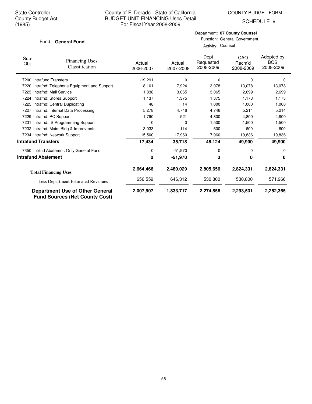COUNTY BUDGET FORM

SCHEDULE 9

#### Fund: General Fund

Department: **07 County Counsel** Function: General Government

Activity: Counsel

| Sub-<br>Obj.               | <b>Financing Uses</b><br>Classification                                         | Actual<br>2006-2007 | Actual<br>2007-2008 | Dept<br>Requested<br>2008-2009 | CAO<br>Recm'd<br>2008-2009 | Adopted by<br><b>BOS</b><br>2008-2009 |
|----------------------------|---------------------------------------------------------------------------------|---------------------|---------------------|--------------------------------|----------------------------|---------------------------------------|
| 7200 Intrafund Transfers   |                                                                                 | $-19,291$           | 0                   | 0                              | $\Omega$                   | $\Omega$                              |
|                            | 7220 Intrafnd: Telephone Equipment and Support                                  | 8,101               | 7,924               | 13,078                         | 13,078                     | 13,078                                |
|                            | 7223 Intrafnd: Mail Service                                                     | 1,838               | 3,065               | 3,065                          | 2,699                      | 2,699                                 |
|                            | 7224 Intrafnd: Stores Support                                                   | 1,137               | 1,375               | 1,375                          | 1,173                      | 1,173                                 |
|                            | 7225 Intrafnd: Central Duplicating                                              | 48                  | 14                  | 1,000                          | 1,000                      | 1,000                                 |
|                            | 7227 Intrafnd: Internal Data Processing                                         | 5,278               | 4,746               | 4,746                          | 5,214                      | 5,214                                 |
|                            | 7229 Intrafnd: PC Support                                                       | 1,790               | 521                 | 4,800                          | 4,800                      | 4,800                                 |
|                            | 7231 Intrafnd: IS Programming Support                                           | 0                   | 0                   | 1,500                          | 1,500                      | 1,500                                 |
|                            | 7232 Intrafnd: Maint Bldg & Improvmnts                                          | 3,033               | 114                 | 600                            | 600                        | 600                                   |
|                            | 7234 Intrafnd: Network Support                                                  | 15,500              | 17,960              | 17,960                         | 19,836                     | 19,836                                |
| <b>Intrafund Transfers</b> |                                                                                 | 17,434              | 35,718              | 48,124                         | 49,900                     | 49,900                                |
|                            | 7350 Intrfnd Abatemnt: Only General Fund                                        | 0                   | $-51,970$           | 0                              | 0                          | 0                                     |
| <b>Intrafund Abatement</b> |                                                                                 | 0                   | $-51,970$           | 0                              | 0                          | 0                                     |
|                            | <b>Total Financing Uses</b>                                                     | 2,664,466           | 2,480,029           | 2,805,656                      | 2,824,331                  | 2,824,331                             |
|                            | Less Department Estimated Revenues                                              | 656,559             | 646,312             | 530,800                        | 530,800                    | 571,966                               |
|                            | <b>Department Use of Other General</b><br><b>Fund Sources (Net County Cost)</b> | 2,007,907           | 1,833,717           | 2,274,856                      | 2,293,531                  | 2,252,365                             |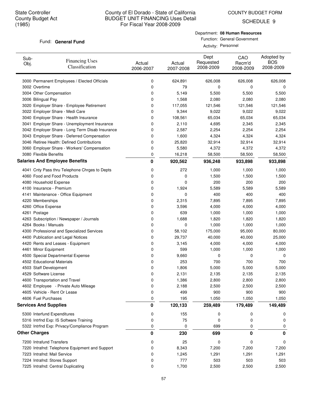COUNTY BUDGET FORM

SCHEDULE 9

#### Fund: General Fund

Department: **08 Human Resources** Function: General Government

Activity: Personnel

| Sub-<br>Obj. | <b>Financing Uses</b><br>Classification         | Actual<br>2006-2007 | Actual<br>2007-2008 | Dept<br>Requested<br>2008-2009 | CAO<br>Recm'd<br>2008-2009 | Adopted by<br><b>BOS</b><br>2008-2009 |
|--------------|-------------------------------------------------|---------------------|---------------------|--------------------------------|----------------------------|---------------------------------------|
|              | 3000 Permanent Employees / Elected Officials    | 0                   | 624,891             | 626,008                        | 626,008                    | 626,008                               |
|              | 3002 Overtime                                   | 0                   | 79                  | 0                              | 0                          | 0                                     |
|              | 3004 Other Compensation                         | 0                   | 5,149               | 5,500                          | 5,500                      | 5,500                                 |
|              | 3006 Bilingual Pay                              | 0                   | 1,568               | 2,080                          | 2,080                      | 2,080                                 |
|              | 3020 Employer Share - Employee Retirement       | 0                   | 117,055             | 121,546                        | 121,546                    | 121,546                               |
|              | 3022 Employer Share - Medi Care                 | 0                   | 9,344               | 9,022                          | 9,022                      | 9,022                                 |
|              | 3040 Employer Share - Health Insurance          | 0                   | 108,561             | 65,034                         | 65,034                     | 65,034                                |
|              | 3041 Employer Share - Unemployment Insurance    | 0                   | 2,110               | 4,695                          | 2,345                      | 2,345                                 |
|              | 3042 Employer Share - Long Term Disab Insurance | 0                   | 2,587               | 2,254                          | 2,254                      | 2,254                                 |
|              | 3043 Employer Share - Deferred Compensation     | 0                   | 1,600               | 4,324                          | 4,324                      | 4,324                                 |
|              | 3046 Retiree Health: Defined Contributions      | 0                   | 25,820              | 32,914                         | 32,914                     | 32,914                                |
|              | 3060 Employer Share - Workers' Compensation     | 0                   | 5,580               | 4,372                          | 4,372                      | 4,372                                 |
|              | 3080 Flexible Benefits                          | 0                   | 16,218              | 58,500                         | 58,500                     | 58,500                                |
|              | <b>Salaries And Employee Benefits</b>           | 0                   | 920,562             | 936,248                        | 933,898                    | 933,898                               |
|              | 4041 Cnty Pass thru Telephone Chrges to Depts   | 0                   | 272                 | 1,000                          | 1,000                      | 1,000                                 |
|              | 4060 Food and Food Products                     | 0                   | 0                   | 1,500                          | 1,500                      | 1,500                                 |
|              | 4080 Household Expense                          | 0                   | 0                   | 200                            | 200                        | 200                                   |
|              | 4100 Insurance - Premium                        | 0                   | 1,924               | 5,589                          | 5,589                      | 5,589                                 |
|              | 4141 Maintenance - Office Equipment             | 0                   | 0                   | 400                            | 400                        | 400                                   |
|              | 4220 Memberships                                | 0                   | 2,315               | 7,895                          | 7,895                      | 7,895                                 |
|              | 4260 Office Expense                             | 0                   | 3,596               | 4,000                          | 4,000                      | 4,000                                 |
|              | 4261 Postage                                    | 0                   | 639                 | 1,000                          | 1,000                      | 1,000                                 |
|              | 4263 Subscription / Newspaper / Journals        | 0                   | 1,688               | 1,820                          | 1,820                      | 1,820                                 |
|              | 4264 Books / Manuals                            | 0                   | 0                   | 1,000                          | 1,000                      | 1,000                                 |
|              | 4300 Professional and Specialized Services      | 0                   | 58,102              | 175,000                        | 95,000                     | 80,000                                |
|              | 4400 Publication and Legal Notices              | 0                   | 29,737              | 40,000                         | 40,000                     | 25,000                                |
|              | 4420 Rents and Leases - Equipment               | 0                   | 3,145               | 4,000                          | 4,000                      | 4,000                                 |
|              | 4461 Minor Equipment                            | 0                   | 599                 | 1,000                          | 1,000                      | 1,000                                 |
|              | 4500 Special Departmental Expense               | 0                   | 9,660               | 0                              | 0                          | 0                                     |
|              | 4502 Educational Materials                      | 0                   | 253                 | 700                            | 700                        | 700                                   |
|              | 4503 Staff Development                          | 0                   | 1,806               | 5,000                          | 5,000                      | 5,000                                 |
|              | 4529 Software License                           | 0                   | 2,131               | 2,135                          | 2,135                      | 2,135                                 |
|              | 4600 Transportation and Travel                  | 0                   | 1,386               | 2,800                          | 2,800                      | 2,800                                 |
|              | 4602 Employee - Private Auto Mileage            | 0                   | 2,188               | 2,500                          | 2,500                      | 2,500                                 |
|              | 4605 Vehicle - Rent Or Lease                    | 0                   | 499                 | 900                            | 900                        | 900                                   |
|              | 4606 Fuel Purchases                             | 0                   | 195                 | 1,050                          | 1,050                      | 1,050                                 |
|              | <b>Services And Supplies</b>                    | 0                   | 120,133             | 259,489                        | 179,489                    | 149,489                               |
|              | 5300 Interfund Expenditures                     | 0                   | 155                 | 0                              | 0                          | 0                                     |
|              | 5316 Intrfnd Exp: IS Software Training          | 0                   | 75                  | 0                              | 0                          | 0                                     |
|              | 5322 Intrfnd Exp: Privacy/Compliance Program    | 0                   | 0                   | 699                            | 0                          | 0                                     |
|              | <b>Other Charges</b>                            | 0                   | 230                 | 699                            | 0                          | 0                                     |
|              | 7200 Intrafund Transfers                        | 0                   | 25                  | 0                              | 0                          | 0                                     |
|              | 7220 Intrafnd: Telephone Equipment and Support  | 0                   | 8,343               | 7,200                          | 7,200                      | 7,200                                 |
|              | 7223 Intrafnd: Mail Service                     | 0                   | 1,245               | 1,291                          | 1,291                      | 1,291                                 |
|              | 7224 Intrafnd: Stores Support                   | 0                   | 777                 | 503                            | 503                        | 503                                   |
|              | 7225 Intrafnd: Central Duplicating              | 0                   | 1,700               | 2,500                          | 2,500                      | 2,500                                 |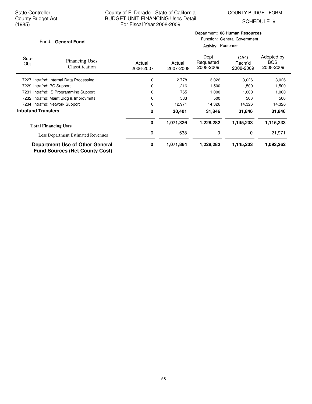Department: **08 Human Resources**

SCHEDULE 9

|                            | Fund: General Fund                                                              |                     | Function: General Government<br>Activity: Personnel |                                |                                   |                                       |  |  |
|----------------------------|---------------------------------------------------------------------------------|---------------------|-----------------------------------------------------|--------------------------------|-----------------------------------|---------------------------------------|--|--|
| Sub-<br>Obj.               | <b>Financing Uses</b><br>Classification                                         | Actual<br>2006-2007 | Actual<br>2007-2008                                 | Dept<br>Requested<br>2008-2009 | <b>CAO</b><br>Recm'd<br>2008-2009 | Adopted by<br><b>BOS</b><br>2008-2009 |  |  |
| 7227                       | Intrafnd: Internal Data Processing                                              |                     | 2,778                                               | 3,026                          | 3,026                             | 3,026                                 |  |  |
|                            | 7229 Intrafnd: PC Support                                                       | 0                   | 1,216                                               | 1,500                          | 1,500                             | 1,500                                 |  |  |
|                            | 7231 Intrafnd: IS Programming Support                                           | 0                   | 765                                                 | 1,000                          | 1,000                             | 1,000                                 |  |  |
|                            | 7232 Intrafnd: Maint Bldg & Improvmnts                                          | 0                   | 583                                                 | 500                            | 500                               | 500                                   |  |  |
|                            | 7234 Intrafnd: Network Support                                                  | 0                   | 12,971                                              | 14,326                         | 14,326                            | 14,326                                |  |  |
| <b>Intrafund Transfers</b> |                                                                                 | 0                   | 30,401                                              | 31,846                         | 31,846                            | 31,846                                |  |  |
|                            | <b>Total Financing Uses</b>                                                     | 0                   | 1,071,326                                           | 1,228,282                      | 1,145,233                         | 1,115,233                             |  |  |
|                            | <b>Less Department Estimated Revenues</b>                                       | 0                   | $-538$                                              | 0                              | 0                                 | 21,971                                |  |  |
|                            | <b>Department Use of Other General</b><br><b>Fund Sources (Net County Cost)</b> | 0                   | 1,071,864                                           | 1,228,282                      | 1,145,233                         | 1,093,262                             |  |  |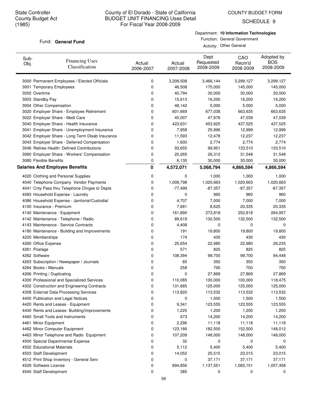COUNTY BUDGET FORM

SCHEDULE 9

#### Fund: General Fund

Department: **10 Information Technologies**

Function: General Government Activity: Other General

| Sub-<br>Obj. | <b>Financing Uses</b><br>Classification         | Actual<br>2006-2007 | Actual<br>2007-2008 | Dept<br>Requested<br>2008-2009 | CAO<br>Recm'd<br>2008-2009 | Adopted by<br><b>BOS</b><br>2008-2009 |
|--------------|-------------------------------------------------|---------------------|---------------------|--------------------------------|----------------------------|---------------------------------------|
|              | 3000 Permanent Employees / Elected Officials    | 0                   | 3,209,508           | 3,466,144                      | 3,299,127                  | 3,299,127                             |
|              | 3001 Temporary Employees                        | 0                   | 46,508              | 175,000                        | 145,000                    | 145,000                               |
|              | 3002 Overtime                                   | 0                   | 40,794              | 30,000                         | 30,000                     | 30,000                                |
|              | 3003 Standby Pay                                | 0                   | 15,613              | 16,200                         | 16,200                     | 16,200                                |
|              | 3004 Other Compensation                         | 0                   | 48,142              | 5,000                          | 5,000                      | 5,000                                 |
|              | 3020 Employer Share - Employee Retirement       | 0                   | 601,669             | 677,038                        | 663,635                    | 663,635                               |
|              | 3022 Employer Share - Medi Care                 | 0                   | 45,007              | 47,976                         | 47,039                     | 47,039                                |
|              | 3040 Employer Share - Health Insurance          | 0                   | 423,631             | 453,925                        | 437,525                    | 437,525                               |
|              | 3041 Employer Share - Unemployment Insurance    | 0                   | 7,958               | 25,996                         | 12,999                     | 12,999                                |
|              | 3042 Employer Share - Long Term Disab Insurance | 0                   | 11,593              | 12,478                         | 12,237                     | 12,237                                |
|              | 3043 Employer Share - Deferred Compensation     | 0                   | 1,600               | 2,774                          | 2,774                      | 2,774                                 |
|              | 3046 Retiree Health: Defined Contributions      | 0                   | 93,655              | 99,951                         | 133,510                    | 133,510                               |
|              | 3060 Employer Share - Workers' Compensation     | 0                   | 20,265              | 26,312                         | 31,548                     | 31,548                                |
|              | 3080 Flexible Benefits                          | 0                   | 6,130               | 30,000                         | 30,000                     | 30,000                                |
|              | <b>Salaries And Employee Benefits</b>           | 0                   | 4,572,071           | 5,068,794                      | 4,866,594                  | 4,866,594                             |
|              | 4020 Clothing and Personal Supplies             | 0                   | 0                   | 1,000                          | 1,000                      | 1,000                                 |
|              | 4040 Telephone Company Vendor Payments          | 0                   | 1,009,798           | 1,020,663                      | 1,020,663                  | 1,020,663                             |
|              | 4041 Cnty Pass thru Telephone Chrges to Depts   | 0                   | $-77,499$           | $-87,357$                      | $-87,357$                  | $-87,357$                             |
|              | 4083 Household Expense - Laundry                | 0                   | 0                   | 960                            | 960                        | 960                                   |
|              | 4086 Household Expense - Janitorial/Custodial   | 0                   | 4,707               | 7,000                          | 7,000                      | 7,000                                 |
|              | 4100 Insurance - Premium                        | 0                   | 7,681               | 8,625                          | 20,335                     | 20,335                                |
|              | 4140 Maintenance - Equipment                    | 0                   | 161,890             | 273,818                        | 252,818                    | 264,957                               |
|              | 4142 Maintenance - Telephone / Radio            | 0                   | 89,618              | 132,500                        | 132,500                    | 132,500                               |
|              | 4143 Maintenance - Service Contracts            | 0                   | 4,408               | 0                              | 0                          | 0                                     |
|              | 4180 Maintenance - Building and Improvements    | 0                   | 191                 | 19,800                         | 19,800                     | 19,800                                |
|              | 4220 Memberships                                | 0                   | 174                 | 430                            | 430                        | 430                                   |
|              | 4260 Office Expense                             | 0                   | 25,654              | 22,980                         | 22,980                     | 28,235                                |
|              | 4261 Postage                                    | 0                   | 571                 | 825                            | 825                        | 825                                   |
|              | 4262 Software                                   | 0                   | 108,394             | 99,700                         | 99,700                     | 94,448                                |
|              | 4263 Subscription / Newspaper / Journals        | 0                   | 85                  | 350                            | 350                        | 350                                   |
|              | 4264 Books / Manuals                            | 0                   | 258                 | 700                            | 700                        | 700                                   |
|              | 4266 Printing / Duplicating                     | 0                   | 0                   | 27,869                         | 27,869                     | 27,869                                |
|              | 4300 Professional and Specialized Services      | U                   | 110,085             | 100,000                        | 100,000                    | 118,475                               |
|              | 4302 Construction and Engineering Contracts     | 0                   | 131,685             | 125,000                        | 125,000                    | 125,000                               |
|              | 4308 External Data Processing Services          | 0                   | 113,820             | 113,532                        | 113,532                    | 113,532                               |
|              | 4400 Publication and Legal Notices              | 0                   | 0                   | 1,500                          | 1,500                      | 1,500                                 |
|              | 4420 Rents and Leases - Equipment               | 0                   | 9,341               | 123,555                        | 123,555                    | 123,555                               |
|              | 4440 Rents and Leases- Building/Improvements    | 0                   | 1,225               | 1,200                          | 1,200                      | 1,200                                 |
|              | 4460 Small Tools and Instruments                | 0                   | 673                 | 14,200                         | 14,200                     | 14,200                                |
|              | 4461 Minor Equipment                            | 0                   | 2,296               | 11,118                         | 11,118                     | 11,118                                |
|              | 4462 Minor Computer Equipment                   | 0                   | 123,166             | 182,500                        | 152,500                    | 148,012                               |
|              | 4463 Minor Telephone and Radio Equipment        | 0                   | 107,209             | 148,000                        | 148,000                    | 148,000                               |
|              | 4500 Special Departmental Expense               | 0                   | 32                  | 0                              | 0                          | 0                                     |
|              | 4502 Educational Materials                      | 0                   | 5,112               | 5,400                          | 5,400                      | 5,400                                 |
|              | 4503 Staff Development                          | 0                   | 14,052              | 25,515                         | 23,015                     | 23,015                                |
|              | 4512 Print Shop Inventory - General Serv        | 0                   | 0                   | 37,171                         | 37,171                     | 37,171                                |
|              | 4529 Software License                           | 0                   | 894,856             | 1,137,551                      | 1,083,151                  | 1,057,458                             |
|              | 4540 Staff Development                          | 0                   | 385                 | 0                              | 0                          | 0                                     |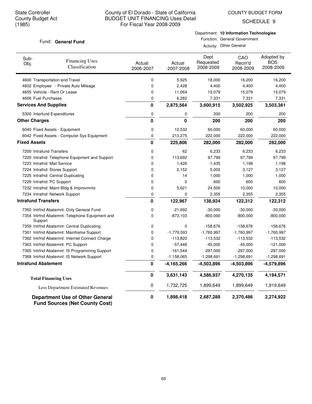COUNTY BUDGET FORM

SCHEDULE 9

## Fund: General Fund

Department: **10 Information Technologies** Function: General Government

Activity: Other General

| Sub-<br>Obj.                 | <b>Financing Uses</b><br>Classification                                         | Actual<br>2006-2007 | Actual<br>2007-2008 | Dept<br>Requested<br>2008-2009 | CAO<br>Recm'd<br>2008-2009 | Adopted by<br><b>BOS</b><br>2008-2009 |
|------------------------------|---------------------------------------------------------------------------------|---------------------|---------------------|--------------------------------|----------------------------|---------------------------------------|
|                              | 4600 Transportation and Travel                                                  | 0                   | 5,925               | 18,000                         | 16,200                     | 16,200                                |
|                              | 4602 Employee - Private Auto Mileage                                            | 0                   | 2,428               | 4,400                          | 4,400                      | 4,400                                 |
|                              | 4605 Vehicle - Rent Or Lease                                                    | 0                   | 11,064              | 15,079                         | 15,079                     | 15,079                                |
| 4606 Fuel Purchases          |                                                                                 | 0                   | 6,282               | 7,331                          | 7,331                      | 7,331                                 |
| <b>Services And Supplies</b> |                                                                                 | $\mathbf 0$         | 2,875,564           | 3,600,915                      | 3,502,925                  | 3,503,361                             |
|                              | 5300 Interfund Expenditures                                                     | 0                   | 0                   | 200                            | 200                        | 200                                   |
| <b>Other Charges</b>         |                                                                                 | $\mathbf 0$         | 0                   | 200                            | 200                        | 200                                   |
|                              | 6040 Fixed Assets - Equipment                                                   | 0                   | 12,532              | 60,000                         | 60,000                     | 60,000                                |
|                              | 6042 Fixed Assets - Computer Sys Equipment                                      | 0                   | 213,275             | 222,000                        | 222,000                    | 222,000                               |
| <b>Fixed Assets</b>          |                                                                                 | $\mathbf{0}$        | 225,806             | 282,000                        | 282,000                    | 282,000                               |
| 7200 Intrafund Transfers     |                                                                                 | 0                   | 62                  | 6,233                          | 6,233                      | 6,233                                 |
|                              | 7220 Intrafnd: Telephone Equipment and Support                                  | 0                   | 113,692             | 97,799                         | 97,799                     | 97,799                                |
|                              | 7223 Intrafnd: Mail Service                                                     | 0                   | 1,426               | 1,435                          | 1,198                      | 1,198                                 |
|                              | 7224 Intrafnd: Stores Support                                                   | 0                   | 2,152               | 5,002                          | 3,127                      | 3,127                                 |
|                              | 7225 Intrafnd: Central Duplicating                                              | 0                   | 14                  | 1,000                          | 1,000                      | 1,000                                 |
| 7229 Intrafnd: PC Support    |                                                                                 | 0                   | 0                   | 600                            | 600                        | 600                                   |
|                              | 7232 Intrafnd: Maint Bldg & Improvmnts                                          | 0                   | 5,621               | 24,500                         | 10,000                     | 10,000                                |
|                              | 7234 Intrafnd: Network Support                                                  | 0                   | 0                   | 2,355                          | 2,355                      | 2,355                                 |
| <b>Intrafund Transfers</b>   |                                                                                 | $\mathbf 0$         | 122,967             | 138,924                        | 122,312                    | 122,312                               |
|                              | 7350 Intrfnd Abatemnt: Only General Fund                                        | 0                   | $-21,692$           | $-30,000$                      | $-30,000$                  | $-30,000$                             |
| Support                      | 7354 Intrfnd Abatemnt: Telephone Equipment and                                  | 0                   | $-873,103$          | $-800,000$                     | $-800,000$                 | $-800,000$                            |
|                              | 7359 Intrfnd Abatemnt: Central Duplicating                                      | 0                   | 0                   | $-158,676$                     | $-158,676$                 | $-158,676$                            |
|                              | 7361 Intrfnd Abatemnt: Mainframe Support                                        | 0                   | $-1,779,593$        | $-1,760,997$                   | $-1,760,997$               | $-1,760,997$                          |
|                              | 7362 Intrfnd Abatemnt: Internet Connect Charge                                  | 0                   | $-113,820$          | $-113,532$                     | -113,532                   | $-113,532$                            |
|                              | 7363 Intrfnd Abatemnt: PC Support                                               | 0                   | $-57,448$           | $-45,000$                      | $-45,000$                  | $-121,000$                            |
|                              | 7365 Intrfnd Abatemnt: IS Programming Support                                   | 0                   | $-161,544$          | $-297,000$                     | $-297,000$                 | $-297,000$                            |
|                              | 7368 Intrfnd Abatemnt: IS Network Support                                       | 0                   | $-1,158,065$        | $-1,298,691$                   | $-1,298,691$               | $-1,298,691$                          |
| <b>Intrafund Abatement</b>   |                                                                                 | $\mathbf 0$         | $-4, 165, 266$      | $-4,503,896$                   | $-4,503,896$               | $-4,579,896$                          |
|                              | <b>Total Financing Uses</b>                                                     | 0                   | 3,631,143           | 4,586,937                      | 4,270,135                  | 4,194,571                             |
|                              | <b>Less Department Estimated Revenues</b>                                       | 0                   | 1,732,725           | 1,899,649                      | 1,899,649                  | 1,919,649                             |
|                              | <b>Department Use of Other General</b><br><b>Fund Sources (Net County Cost)</b> | 0                   | 1,898,418           | 2,687,288                      | 2,370,486                  | 2,274,922                             |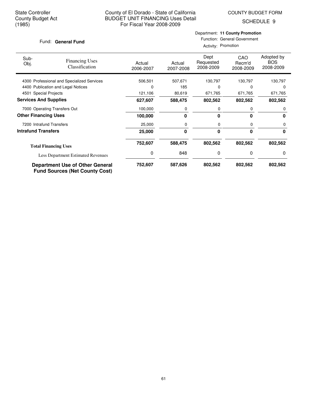SCHEDULE 9

#### Fund: General Fund

## Department: **11 County Promotion** Function: General Government

Activity: Promotion

| Sub-<br>Obj.                 | <b>Financing Uses</b><br>Classification                                         | Actual<br>2006-2007 | Actual<br>2007-2008 | Dept<br>Requested<br>2008-2009 | CAO<br>Recm'd<br>2008-2009 | Adopted by<br><b>BOS</b><br>2008-2009 |
|------------------------------|---------------------------------------------------------------------------------|---------------------|---------------------|--------------------------------|----------------------------|---------------------------------------|
|                              | 4300 Professional and Specialized Services                                      | 506,501             | 507,671             | 130,797                        | 130,797                    | 130,797                               |
|                              | 4400 Publication and Legal Notices                                              | $\Omega$            | 185                 | 0                              | O                          | $\Omega$                              |
| 4501 Special Projects        |                                                                                 | 121,106             | 80,619              | 671,765                        | 671,765                    | 671,765                               |
| <b>Services And Supplies</b> |                                                                                 | 627,607             | 588,475             | 802,562                        | 802,562                    | 802,562                               |
|                              | 7000 Operating Transfers Out                                                    | 100,000             | 0                   | 0                              | 0                          | 0                                     |
| <b>Other Financing Uses</b>  |                                                                                 | 100.000             | 0                   | 0                              | 0                          | 0                                     |
| 7200 Intrafund Transfers     |                                                                                 | 25,000              | 0                   | 0                              | 0                          | 0                                     |
| <b>Intrafund Transfers</b>   |                                                                                 | 25,000              | 0                   | $\bf{0}$                       | 0                          | 0                                     |
|                              | <b>Total Financing Uses</b>                                                     | 752,607             | 588,475             | 802,562                        | 802,562                    | 802,562                               |
|                              | <b>Less Department Estimated Revenues</b>                                       | 0                   | 848                 | 0                              | 0                          | 0                                     |
|                              | <b>Department Use of Other General</b><br><b>Fund Sources (Net County Cost)</b> | 752,607             | 587,626             | 802,562                        | 802,562                    | 802,562                               |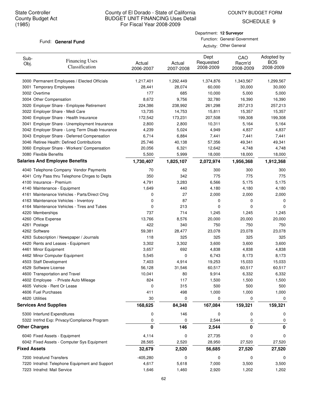COUNTY BUDGET FORM

SCHEDULE 9

#### Fund: General Fund

| Department: 12 Surveyor      |
|------------------------------|
| Function: General Government |

Activity: Other General

| Sub-<br>Obj.        | <b>Financing Uses</b><br>Classification         | Actual<br>2006-2007 | Actual<br>2007-2008 | Dept<br>Requested<br>2008-2009 | CAO<br>Recm'd<br>2008-2009 | Adopted by<br><b>BOS</b><br>2008-2009 |
|---------------------|-------------------------------------------------|---------------------|---------------------|--------------------------------|----------------------------|---------------------------------------|
|                     | 3000 Permanent Employees / Elected Officials    | 1,217,401           | 1,292,449           | 1,374,876                      | 1,343,567                  | 1,299,567                             |
|                     | 3001 Temporary Employees                        | 28.441              | 28,074              | 60,000                         | 30,000                     | 30,000                                |
|                     | 3002 Overtime                                   | 177                 | 685                 | 10,000                         | 5,000                      | 5,000                                 |
|                     | 3004 Other Compensation                         | 8,672               | 9,756               | 32,780                         | 16,390                     | 16,390                                |
|                     | 3020 Employer Share - Employee Retirement       | 224,386             | 238,992             | 261,298                        | 257,213                    | 257,213                               |
|                     | 3022 Employer Share - Medi Care                 | 13,735              | 14,753              | 15,811                         | 15,357                     | 15,357                                |
|                     | 3040 Employer Share - Health Insurance          | 172,542             | 173,231             | 207,508                        | 199,308                    | 199,308                               |
|                     | 3041 Employer Share - Unemployment Insurance    | 2,800               | 2,800               | 10,311                         | 5,164                      | 5,164                                 |
|                     | 3042 Employer Share - Long Term Disab Insurance | 4,239               | 5,024               | 4,949                          | 4,837                      | 4,837                                 |
|                     | 3043 Employer Share - Deferred Compensation     | 6,714               | 6,884               | 7,441                          | 7,441                      | 7,441                                 |
|                     | 3046 Retiree Health: Defined Contributions      | 25,746              | 40,138              | 57,356                         | 49,341                     | 49,341                                |
|                     | 3060 Employer Share - Workers' Compensation     | 20,056              | 6,321               | 12,642                         | 4,748                      | 4,748                                 |
|                     | 3080 Flexible Benefits                          | 5,500               | 5,999               | 18,000                         | 18,000                     | 18,000                                |
|                     | <b>Salaries And Employee Benefits</b>           | 1,730,407           | 1,825,107           | 2,072,974                      | 1,956,368                  | 1,912,368                             |
|                     | 4040 Telephone Company Vendor Payments          | 70                  | 62                  | 300                            | 300                        | 300                                   |
|                     | 4041 Cnty Pass thru Telephone Chrges to Depts   | 350                 | 342                 | 775                            | 775                        | 775                                   |
|                     | 4100 Insurance - Premium                        | 4,791               | 3,283               | 6,566                          | 5,175                      | 5,175                                 |
|                     | 4140 Maintenance - Equipment                    | 1,649               | 440                 | 4,180                          | 4,180                      | 4,180                                 |
|                     | 4161 Maintenance Vehicles - Parts/Direct Chrg   | 0                   | 27                  | 2,000                          | 2,000                      | 2,000                                 |
|                     | 4163 Maintenance Vehicles - Inventory           | 0                   | 87                  | 0                              | 0                          | 0                                     |
|                     | 4164 Maintenance Vehicles - Tires and Tubes     | 0                   | 213                 | 0                              | 0                          | 0                                     |
|                     | 4220 Memberships                                | 737                 | 714                 | 1,245                          | 1,245                      | 1,245                                 |
|                     | 4260 Office Expense                             | 13,766              | 8,576               | 20,000                         | 20,000                     | 20,000                                |
|                     | 4261 Postage                                    | 422                 | 340                 | 750                            | 750                        | 750                                   |
|                     | 4262 Software                                   | 59,381              | 28,477              | 23,078                         | 23,078                     | 23,078                                |
|                     | 4263 Subscription / Newspaper / Journals        | 118                 | 325                 | 325                            | 325                        | 325                                   |
|                     | 4420 Rents and Leases - Equipment               | 3,302               | 3,302               | 3,600                          | 3,600                      | 3,600                                 |
|                     | 4461 Minor Equipment                            | 3,657               | 692                 | 4,838                          | 4,838                      | 4,838                                 |
|                     | 4462 Minor Computer Equipment                   | 5,545               | 0                   | 6,743                          | 8,173                      | 8,173                                 |
|                     | 4503 Staff Development                          | 7,403               | 4,914               | 19,253                         | 15,033                     | 15,033                                |
|                     | 4529 Software License                           | 56,128              | 31,546              | 60,517                         | 60,517                     | 60,517                                |
|                     | 4600 Transportation and Travel                  | 10,041              | 80                  | 9,914                          | 6,332                      | 6,332                                 |
|                     | 4602 Employee - Private Auto Mileage            | 824                 | 117                 | 1,500                          | 1,500                      | 1,500                                 |
|                     | 4605 Vehicle - Rent Or Lease                    | 0                   | 315                 | 500                            | 500                        | 500                                   |
|                     | 4606 Fuel Purchases                             | 411                 | 498                 | 1,000                          | 1,000                      | 1,000                                 |
|                     | 4620 Utilities                                  | 30                  | 0                   | 0                              | 0                          | 0                                     |
|                     | <b>Services And Supplies</b>                    | 168,625             | 84,348              | 167,084                        | 159,321                    | 159,321                               |
|                     | 5300 Interfund Expenditures                     | 0                   | 146                 | 0                              | 0                          | 0                                     |
|                     | 5322 Intrfnd Exp: Privacy/Compliance Program    | 0                   | 0                   | 2,544                          | 0                          | 0                                     |
|                     | <b>Other Charges</b>                            | 0                   | 146                 | 2,544                          | 0                          | 0                                     |
|                     | 6040 Fixed Assets - Equipment                   | 4,114               | 0                   | 27,735                         | 0                          | 0                                     |
|                     | 6042 Fixed Assets - Computer Sys Equipment      | 28,565              | 2,520               | 28,950                         | 27,520                     | 27,520                                |
| <b>Fixed Assets</b> |                                                 | 32,679              | 2,520               | 56,685                         | 27,520                     | 27,520                                |
|                     | 7200 Intrafund Transfers                        | $-405,280$          | 0                   | 0                              | 0                          | 0                                     |
|                     | 7220 Intrafnd: Telephone Equipment and Support  | 4,617               | 5,618               | 7,000                          | 3,500                      | 3,500                                 |
|                     | 7223 Intrafnd: Mail Service                     | 1,646               | 1,460               | 2,920                          | 1,202                      | 1,202                                 |